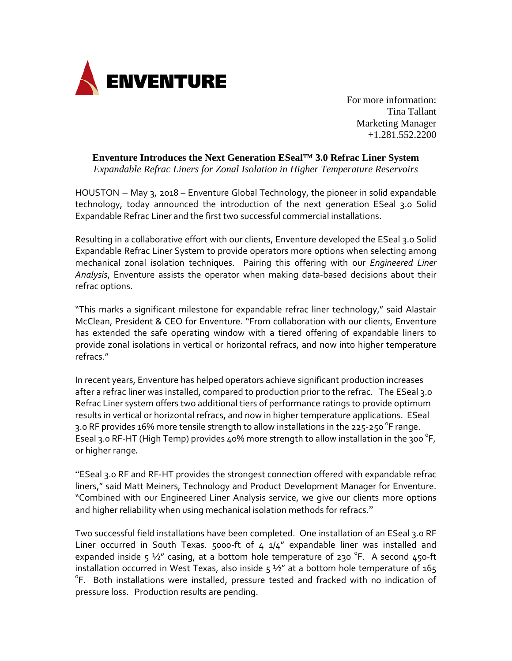

Tina Tallant Marketing Manager +1.281.552.2200

**Enventure Introduces the Next Generation ESeal™ 3.0 Refrac Liner System**

*Expandable Refrac Liners for Zonal Isolation in Higher Temperature Reservoirs*

HOUSTON – May 3, 2018 – Enventure Global Technology, the pioneer in solid expandable technology, today announced the introduction of the next generation ESeal 3.0 Solid Expandable Refrac Liner and the first two successful commercial installations.

Resulting in a collaborative effort with our clients, Enventure developed the ESeal 3.0 Solid Expandable Refrac Liner System to provide operators more options when selecting among mechanical zonal isolation techniques. Pairing this offering with our *Engineered Liner Analysis*, Enventure assists the operator when making data-based decisions about their refrac options.

"This marks a significant milestone for expandable refrac liner technology," said Alastair McClean, President & CEO for Enventure. "From collaboration with our clients, Enventure has extended the safe operating window with a tiered offering of expandable liners to provide zonal isolations in vertical or horizontal refracs, and now into higher temperature refracs."

In recent years, Enventure has helped operators achieve significant production increases after a refrac liner was installed, compared to production prior to the refrac. The ESeal 3.0 Refrac Liner system offers two additional tiers of performance ratings to provide optimum results in vertical or horizontal refracs, and now in higher temperature applications. ESeal 3.0 RF provides 16% more tensile strength to allow installations in the 225-250  $^{\circ}$ F range. Eseal 3.0 RF-HT (High Temp) provides 40% more strength to allow installation in the 300  $^{\circ}$ F, or higher range.

"ESeal 3.0 RF and RF-HT provides the strongest connection offered with expandable refrac liners," said Matt Meiners, Technology and Product Development Manager for Enventure. "Combined with our Engineered Liner Analysis service, we give our clients more options and higher reliability when using mechanical isolation methods for refracs."

Two successful field installations have been completed. One installation of an ESeal 3.0 RF Liner occurred in South Texas. 5000-ft of  $4 \frac{1}{4}$  expandable liner was installed and expanded inside  $5\frac{1}{2}$  casing, at a bottom hole temperature of 230 °F. A second 450-ft installation occurred in West Texas, also inside  $5\frac{1}{2}$ " at a bottom hole temperature of 165 <sup>o</sup>F. Both installations were installed, pressure tested and fracked with no indication of pressure loss. Production results are pending.